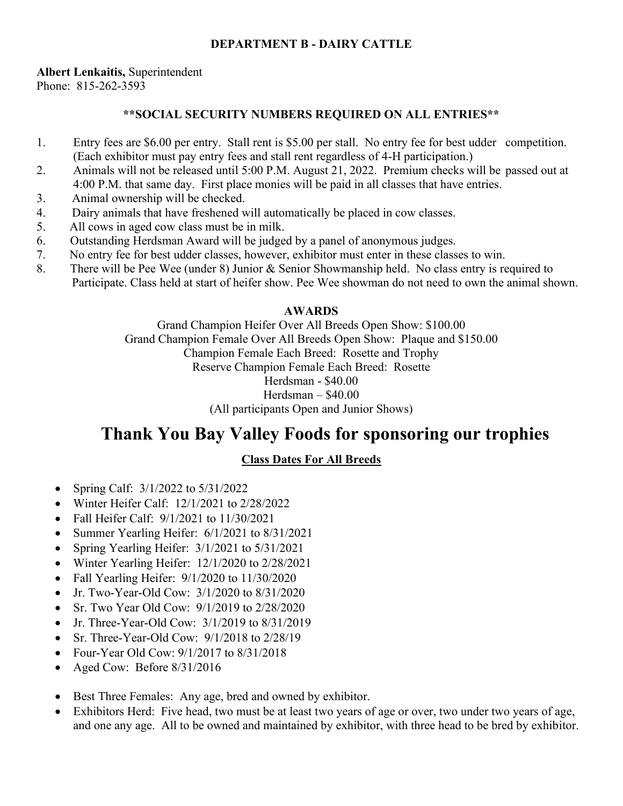# **DEPARTMENT B - DAIRY CATTLE**

# **Albert Lenkaitis,** Superintendent

Phone: 815-262-3593

# **\*\*SOCIAL SECURITY NUMBERS REQUIRED ON ALL ENTRIES\*\***

- 1. Entry fees are \$6.00 per entry. Stall rent is \$5.00 per stall. No entry fee for best udder competition. (Each exhibitor must pay entry fees and stall rent regardless of 4-H participation.)
- 2. Animals will not be released until 5:00 P.M. August 21, 2022. Premium checks will be passed out at 4:00 P.M. that same day. First place monies will be paid in all classes that have entries.
- 3. Animal ownership will be checked.
- 4. Dairy animals that have freshened will automatically be placed in cow classes.
- 5. All cows in aged cow class must be in milk.
- 6. Outstanding Herdsman Award will be judged by a panel of anonymous judges.
- 7. No entry fee for best udder classes, however, exhibitor must enter in these classes to win.
- 8. There will be Pee Wee (under 8) Junior & Senior Showmanship held. No class entry is required to Participate. Class held at start of heifer show. Pee Wee showman do not need to own the animal shown.

# **AWARDS**

Grand Champion Heifer Over All Breeds Open Show: \$100.00 Grand Champion Female Over All Breeds Open Show: Plaque and \$150.00 Champion Female Each Breed: Rosette and Trophy Reserve Champion Female Each Breed: Rosette Herdsman - \$40.00 Herdsman – \$40.00 (All participants Open and Junior Shows)

# **Thank You Bay Valley Foods for sponsoring our trophies**

# **Class Dates For All Breeds**

- Spring Calf:  $3/1/2022$  to  $5/31/2022$
- Winter Heifer Calf: 12/1/2021 to 2/28/2022
- Fall Heifer Calf:  $9/1/2021$  to  $11/30/2021$
- Summer Yearling Heifer: 6/1/2021 to 8/31/2021
- Spring Yearling Heifer: 3/1/2021 to 5/31/2021
- Winter Yearling Heifer: 12/1/2020 to 2/28/2021
- Fall Yearling Heifer:  $9/1/2020$  to  $11/30/2020$
- Jr. Two-Year-Old Cow:  $3/1/2020$  to  $8/31/2020$
- Sr. Two Year Old Cow:  $9/1/2019$  to 2/28/2020
- Jr. Three-Year-Old Cow: 3/1/2019 to 8/31/2019
- Sr. Three-Year-Old Cow:  $9/1/2018$  to 2/28/19
- Four-Year Old Cow:  $9/1/2017$  to  $8/31/2018$
- Aged Cow: Before 8/31/2016
- Best Three Females: Any age, bred and owned by exhibitor.
- Exhibitors Herd: Five head, two must be at least two years of age or over, two under two years of age, and one any age. All to be owned and maintained by exhibitor, with three head to be bred by exhibitor.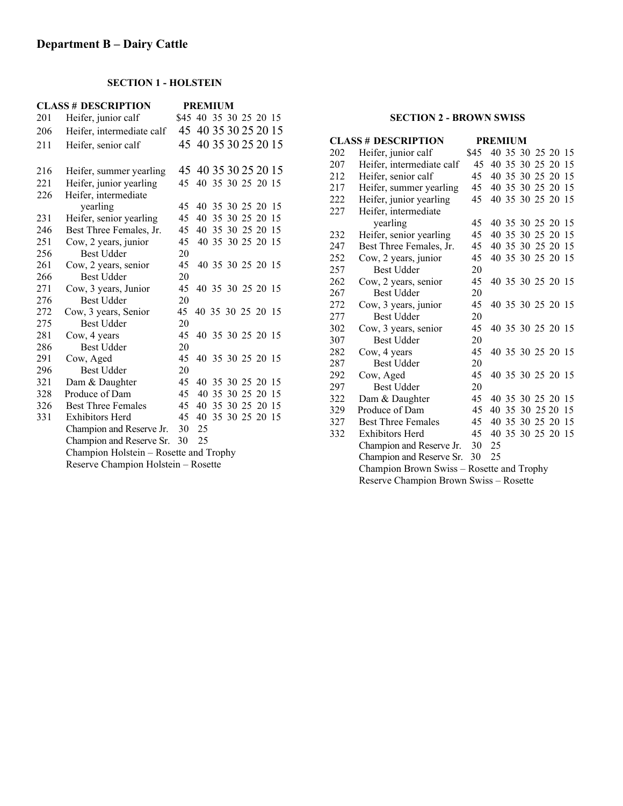# **SECTION 1 - HOLSTEIN**

| <b>CLASS # DESCRIPTION</b> |                                        |                        | <b>PREMIUM</b>       |  |                   |  |
|----------------------------|----------------------------------------|------------------------|----------------------|--|-------------------|--|
| 201                        | Heifer, junior calf                    | \$45 40 35 30 25 20 15 |                      |  |                   |  |
| 206                        | Heifer, intermediate calf              |                        | 45 40 35 30 25 20 15 |  |                   |  |
| 211                        | Heifer, senior calf                    |                        | 45 40 35 30 25 20 15 |  |                   |  |
| 216                        | Heifer, summer yearling                |                        | 45 40 35 30 25 20 15 |  |                   |  |
| 221                        | Heifer, junior yearling                | 45                     |                      |  | 40 35 30 25 20 15 |  |
| 226                        | Heifer, intermediate                   |                        |                      |  |                   |  |
|                            | yearling                               | 45                     |                      |  | 40 35 30 25 20 15 |  |
| 231                        | Heifer, senior yearling                | 45                     | 40                   |  | 35 30 25 20 15    |  |
| 246                        | Best Three Females, Jr.                | 45                     |                      |  | 40 35 30 25 20 15 |  |
| 251                        | Cow, 2 years, junior                   | 45                     |                      |  | 40 35 30 25 20 15 |  |
| 256                        | <b>Best Udder</b>                      | 20                     |                      |  |                   |  |
| 261                        | Cow, 2 years, senior                   | 45                     |                      |  | 40 35 30 25 20 15 |  |
| 266                        | <b>Best Udder</b>                      | 20                     |                      |  |                   |  |
| 271                        | Cow, 3 years, Junior                   | 45                     |                      |  | 40 35 30 25 20 15 |  |
| 276                        | <b>Best Udder</b>                      | 20                     |                      |  |                   |  |
| 272                        | Cow, 3 years, Senior                   | 45                     | 40 35 30 25 20 15    |  |                   |  |
| 275                        | <b>Best Udder</b>                      | 20                     |                      |  |                   |  |
| 281                        | Cow, 4 years                           | 45                     |                      |  | 40 35 30 25 20 15 |  |
| 286                        | <b>Best Udder</b>                      | 20                     |                      |  |                   |  |
| 291                        | Cow, Aged                              | 45                     |                      |  | 40 35 30 25 20 15 |  |
| 296                        | <b>Best Udder</b>                      | 20                     |                      |  |                   |  |
| 321                        | Dam & Daughter                         | 45                     |                      |  | 40 35 30 25 20 15 |  |
| 328                        | Produce of Dam                         | 45                     |                      |  | 40 35 30 25 20 15 |  |
| 326                        | <b>Best Three Females</b>              | 45                     | 40                   |  | 35 30 25 20 15    |  |
| 331                        | <b>Exhibitors Herd</b>                 | 45                     | 40                   |  | 35 30 25 20 15    |  |
|                            | Champion and Reserve Jr.               | 30                     | 25                   |  |                   |  |
|                            | Champion and Reserve Sr.               | 30                     | 25                   |  |                   |  |
|                            | Champion Holstein - Rosette and Trophy |                        |                      |  |                   |  |
|                            | Reserve Champion Holstein - Rosette    |                        |                      |  |                   |  |
|                            |                                        |                        |                      |  |                   |  |

### **SECTION 2 - BROWN SWISS**

| <b>CLASS # DESCRIPTION</b> |                                           |      | <b>PREMIUM</b> |  |  |                |                   |    |
|----------------------------|-------------------------------------------|------|----------------|--|--|----------------|-------------------|----|
| 202                        | Heifer, junior calf                       | \$45 |                |  |  |                | 40 35 30 25 20 15 |    |
| 207                        | Heifer, intermediate calf                 | 45   |                |  |  |                | 40 35 30 25 20 15 |    |
| 212                        | Heifer, senior calf                       | 45   |                |  |  |                | 40 35 30 25 20 15 |    |
| 217                        | Heifer, summer yearling                   | 45   |                |  |  |                | 40 35 30 25 20 15 |    |
| 222                        | Heifer, junior yearling                   | 45   |                |  |  |                | 40 35 30 25 20 15 |    |
| 227                        | Heifer, intermediate                      |      |                |  |  |                |                   |    |
|                            | yearling                                  | 45   |                |  |  |                | 40 35 30 25 20 15 |    |
| 232                        | Heifer, senior yearling                   | 45   |                |  |  |                | 40 35 30 25 20 15 |    |
| 247                        | Best Three Females, Jr.                   | 45   |                |  |  |                | 40 35 30 25 20 15 |    |
| 252                        | Cow, 2 years, junior                      | 45   |                |  |  |                | 40 35 30 25 20 15 |    |
| 257                        | <b>Best Udder</b>                         | 20   |                |  |  |                |                   |    |
| 262                        | Cow, 2 years, senior                      | 45   |                |  |  |                | 40 35 30 25 20 15 |    |
| 267                        | <b>Best Udder</b>                         | 20   |                |  |  |                |                   |    |
| 272                        | Cow, 3 years, junior                      | 45   |                |  |  |                | 40 35 30 25 20 15 |    |
| 277                        | <b>Best Udder</b>                         | 20   |                |  |  |                |                   |    |
| 302                        | Cow, 3 years, senior                      | 45   |                |  |  |                | 40 35 30 25 20 15 |    |
| 307                        | <b>Best Udder</b>                         | 20   |                |  |  |                |                   |    |
| 282                        | Cow, 4 years                              | 45   |                |  |  |                | 40 35 30 25 20 15 |    |
| 287                        | <b>Best Udder</b>                         | 20   |                |  |  |                |                   |    |
| 292                        | Cow, Aged                                 | 45   |                |  |  |                | 40 35 30 25 20 15 |    |
| 297                        | <b>Best Udder</b>                         | 20   |                |  |  |                |                   |    |
| 322                        | Dam & Daughter                            | 45   |                |  |  |                | 40 35 30 25 20 15 |    |
| 329                        | Produce of Dam                            | 45   |                |  |  | 40 35 30 25 20 |                   | 15 |
| 327                        | <b>Best Three Females</b>                 | 45   |                |  |  |                | 40 35 30 25 20 15 |    |
| 332                        | <b>Exhibitors Herd</b>                    | 45   |                |  |  |                | 40 35 30 25 20 15 |    |
|                            | Champion and Reserve Jr.                  | 30   | 25             |  |  |                |                   |    |
|                            | Champion and Reserve Sr.                  | 30   | 25             |  |  |                |                   |    |
|                            | Champion Brown Swiss - Rosette and Trophy |      |                |  |  |                |                   |    |
|                            | Reserve Champion Brown Swiss - Rosette    |      |                |  |  |                |                   |    |